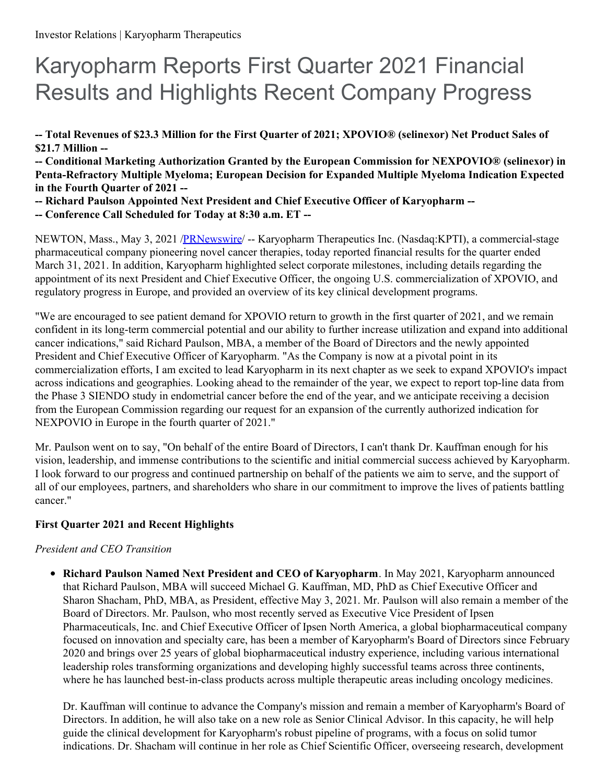# Karyopharm Reports First Quarter 2021 Financial Results and Highlights Recent Company Progress

-- Total Revenues of \$23.3 Million for the First Quarter of 2021; XPOVIO® (selinexor) Net Product Sales of **\$21.7 Million --**

**-- Conditional Marketing Authorization Granted by the European Commission for NEXPOVIO® (selinexor) in Penta-Refractory Multiple Myeloma; European Decision for Expanded Multiple Myeloma Indication Expected in the Fourth Quarter of 2021 --**

- **-- Richard Paulson Appointed Next President and Chief Executive Officer of Karyopharm --**
- **-- Conference Call Scheduled for Today at 8:30 a.m. ET --**

NEWTON, Mass., May 3, 2021 /**PRNewswire/ -- Karyopharm Therapeutics Inc.** (Nasdaq:KPTI), a commercial-stage pharmaceutical company pioneering novel cancer therapies, today reported financial results for the quarter ended March 31, 2021. In addition, Karyopharm highlighted select corporate milestones, including details regarding the appointment of its next President and Chief Executive Officer, the ongoing U.S. commercialization of XPOVIO, and regulatory progress in Europe, and provided an overview of its key clinical development programs.

"We are encouraged to see patient demand for XPOVIO return to growth in the first quarter of 2021, and we remain confident in its long-term commercial potential and our ability to further increase utilization and expand into additional cancer indications," said Richard Paulson, MBA, a member of the Board of Directors and the newly appointed President and Chief Executive Officer of Karyopharm. "As the Company is now at a pivotal point in its commercialization efforts, I am excited to lead Karyopharm in its next chapter as we seek to expand XPOVIO's impact across indications and geographies. Looking ahead to the remainder of the year, we expect to report top-line data from the Phase 3 SIENDO study in endometrial cancer before the end of the year, and we anticipate receiving a decision from the European Commission regarding our request for an expansion of the currently authorized indication for NEXPOVIO in Europe in the fourth quarter of 2021."

Mr. Paulson went on to say, "On behalf of the entire Board of Directors, I can't thank Dr. Kauffman enough for his vision, leadership, and immense contributions to the scientific and initial commercial success achieved by Karyopharm. I look forward to our progress and continued partnership on behalf of the patients we aim to serve, and the support of all of our employees, partners, and shareholders who share in our commitment to improve the lives of patients battling cancer."

## **First Quarter 2021 and Recent Highlights**

## *President and CEO Transition*

**Richard Paulson Named Next President and CEO of Karyopharm**. In May 2021, Karyopharm announced that Richard Paulson, MBA will succeed Michael G. Kauffman, MD, PhD as Chief Executive Officer and Sharon Shacham, PhD, MBA, as President, effective May 3, 2021. Mr. Paulson will also remain a member of the Board of Directors. Mr. Paulson, who most recently served as Executive Vice President of Ipsen Pharmaceuticals, Inc. and Chief Executive Officer of Ipsen North America, a global biopharmaceutical company focused on innovation and specialty care, has been a member of Karyopharm's Board of Directors since February 2020 and brings over 25 years of global biopharmaceutical industry experience, including various international leadership roles transforming organizations and developing highly successful teams across three continents, where he has launched best-in-class products across multiple therapeutic areas including oncology medicines.

Dr. Kauffman will continue to advance the Company's mission and remain a member of Karyopharm's Board of Directors. In addition, he will also take on a new role as Senior Clinical Advisor. In this capacity, he will help guide the clinical development for Karyopharm's robust pipeline of programs, with a focus on solid tumor indications. Dr. Shacham will continue in her role as Chief Scientific Officer, overseeing research, development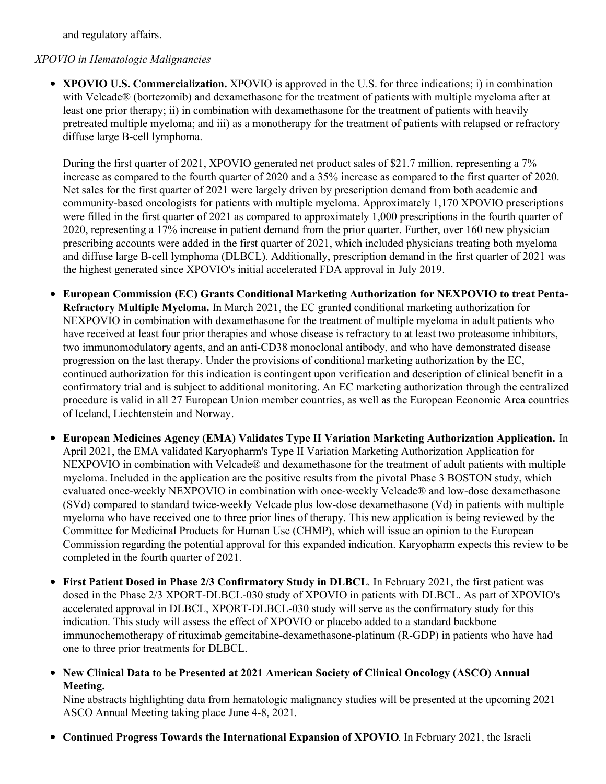and regulatory affairs.

#### *XPOVIO in Hematologic Malignancies*

**XPOVIO U.S. Commercialization.** XPOVIO is approved in the U.S. for three indications; i) in combination with Velcade® (bortezomib) and dexamethasone for the treatment of patients with multiple myeloma after at least one prior therapy; ii) in combination with dexamethasone for the treatment of patients with heavily pretreated multiple myeloma; and iii) as a monotherapy for the treatment of patients with relapsed or refractory diffuse large B-cell lymphoma.

During the first quarter of 2021, XPOVIO generated net product sales of \$21.7 million, representing a 7% increase as compared to the fourth quarter of 2020 and a 35% increase as compared to the first quarter of 2020. Net sales for the first quarter of 2021 were largely driven by prescription demand from both academic and community-based oncologists for patients with multiple myeloma. Approximately 1,170 XPOVIO prescriptions were filled in the first quarter of 2021 as compared to approximately 1,000 prescriptions in the fourth quarter of 2020, representing a 17% increase in patient demand from the prior quarter. Further, over 160 new physician prescribing accounts were added in the first quarter of 2021, which included physicians treating both myeloma and diffuse large B-cell lymphoma (DLBCL). Additionally, prescription demand in the first quarter of 2021 was the highest generated since XPOVIO's initial accelerated FDA approval in July 2019.

- **European Commission (EC) Grants Conditional Marketing Authorization for NEXPOVIO to treat Penta-Refractory Multiple Myeloma.** In March 2021, the EC granted conditional marketing authorization for NEXPOVIO in combination with dexamethasone for the treatment of multiple myeloma in adult patients who have received at least four prior therapies and whose disease is refractory to at least two proteasome inhibitors, two immunomodulatory agents, and an anti-CD38 monoclonal antibody, and who have demonstrated disease progression on the last therapy. Under the provisions of conditional marketing authorization by the EC, continued authorization for this indication is contingent upon verification and description of clinical benefit in a confirmatory trial and is subject to additional monitoring. An EC marketing authorization through the centralized procedure is valid in all 27 European Union member countries, as well as the European Economic Area countries of Iceland, Liechtenstein and Norway.
- **European Medicines Agency (EMA) Validates Type II Variation Marketing Authorization Application.** In April 2021, the EMA validated Karyopharm's Type II Variation Marketing Authorization Application for NEXPOVIO in combination with Velcade® and dexamethasone for the treatment of adult patients with multiple myeloma. Included in the application are the positive results from the pivotal Phase 3 BOSTON study, which evaluated once-weekly NEXPOVIO in combination with once-weekly Velcade® and low-dose dexamethasone (SVd) compared to standard twice-weekly Velcade plus low-dose dexamethasone (Vd) in patients with multiple myeloma who have received one to three prior lines of therapy. This new application is being reviewed by the Committee for Medicinal Products for Human Use (CHMP), which will issue an opinion to the European Commission regarding the potential approval for this expanded indication. Karyopharm expects this review to be completed in the fourth quarter of 2021.
- **First Patient Dosed in Phase 2/3 Confirmatory Study in DLBCL**. In February 2021, the first patient was dosed in the Phase 2/3 XPORT-DLBCL-030 study of XPOVIO in patients with DLBCL. As part of XPOVIO's accelerated approval in DLBCL, XPORT-DLBCL-030 study will serve as the confirmatory study for this indication. This study will assess the effect of XPOVIO or placebo added to a standard backbone immunochemotherapy of rituximab gemcitabine-dexamethasone-platinum (R-GDP) in patients who have had one to three prior treatments for DLBCL.
- **New Clinical Data to be Presented at 2021 American Society of Clinical Oncology (ASCO) Annual Meeting.**

Nine abstracts highlighting data from hematologic malignancy studies will be presented at the upcoming 2021 ASCO Annual Meeting taking place June 4-8, 2021.

**Continued Progress Towards the International Expansion of XPOVIO**. In February 2021, the Israeli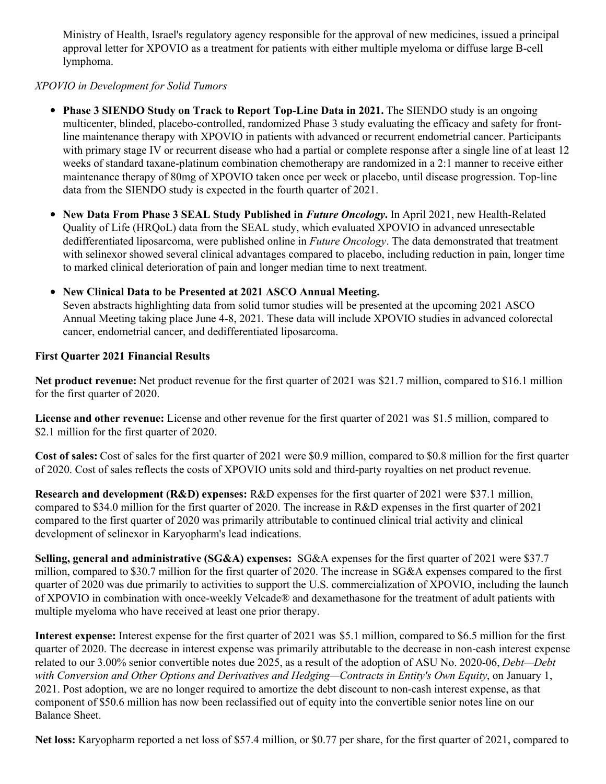Ministry of Health, Israel's regulatory agency responsible for the approval of new medicines, issued a principal approval letter for XPOVIO as a treatment for patients with either multiple myeloma or diffuse large B-cell lymphoma.

## *XPOVIO in Development for Solid Tumors*

- **Phase 3 SIENDO Study on Track to Report Top-Line Data in 2021.** The SIENDO study is an ongoing multicenter, blinded, placebo-controlled, randomized Phase 3 study evaluating the efficacy and safety for frontline maintenance therapy with XPOVIO in patients with advanced or recurrent endometrial cancer. Participants with primary stage IV or recurrent disease who had a partial or complete response after a single line of at least 12 weeks of standard taxane-platinum combination chemotherapy are randomized in a 2:1 manner to receive either maintenance therapy of 80mg of XPOVIO taken once per week or placebo, until disease progression. Top-line data from the SIENDO study is expected in the fourth quarter of 2021.
- **New Data From Phase 3 SEAL Study Published in** *Future Oncology***.** In April 2021, new Health-Related Quality of Life (HRQoL) data from the SEAL study, which evaluated XPOVIO in advanced unresectable dedifferentiated liposarcoma, were published online in *Future Oncology*. The data demonstrated that treatment with selinexor showed several clinical advantages compared to placebo, including reduction in pain, longer time to marked clinical deterioration of pain and longer median time to next treatment.

## **New Clinical Data to be Presented at 2021 ASCO Annual Meeting.**

Seven abstracts highlighting data from solid tumor studies will be presented at the upcoming 2021 ASCO Annual Meeting taking place June 4-8, 2021. These data will include XPOVIO studies in advanced colorectal cancer, endometrial cancer, and dedifferentiated liposarcoma.

#### **First Quarter 2021 Financial Results**

**Net product revenue:** Net product revenue for the first quarter of 2021 was \$21.7 million, compared to \$16.1 million for the first quarter of 2020.

**License and other revenue:** License and other revenue for the first quarter of 2021 was \$1.5 million, compared to \$2.1 million for the first quarter of 2020.

**Cost of sales:** Cost of sales for the first quarter of 2021 were \$0.9 million, compared to \$0.8 million for the first quarter of 2020. Cost of sales reflects the costs of XPOVIO units sold and third-party royalties on net product revenue.

**Research and development (R&D) expenses:** R&D expenses for the first quarter of 2021 were \$37.1 million, compared to \$34.0 million for the first quarter of 2020. The increase in R&D expenses in the first quarter of 2021 compared to the first quarter of 2020 was primarily attributable to continued clinical trial activity and clinical development of selinexor in Karyopharm's lead indications.

**Selling, general and administrative (SG&A) expenses:** SG&A expenses for the first quarter of 2021 were \$37.7 million, compared to \$30.7 million for the first quarter of 2020. The increase in SG&A expenses compared to the first quarter of 2020 was due primarily to activities to support the U.S. commercialization of XPOVIO, including the launch of XPOVIO in combination with once-weekly Velcade® and dexamethasone for the treatment of adult patients with multiple myeloma who have received at least one prior therapy.

**Interest expense:** Interest expense for the first quarter of 2021 was \$5.1 million, compared to \$6.5 million for the first quarter of 2020. The decrease in interest expense was primarily attributable to the decrease in non-cash interest expense related to our 3.00% senior convertible notes due 2025, as a result of the adoption of ASU No. 2020-06, *Debt—Debt with Conversion and Other Options and Derivatives and Hedging—Contracts in Entity's Own Equity*, on January 1, 2021. Post adoption, we are no longer required to amortize the debt discount to non-cash interest expense, as that component of \$50.6 million has now been reclassified out of equity into the convertible senior notes line on our Balance Sheet.

**Net loss:** Karyopharm reported a net loss of \$57.4 million, or \$0.77 per share, for the first quarter of 2021, compared to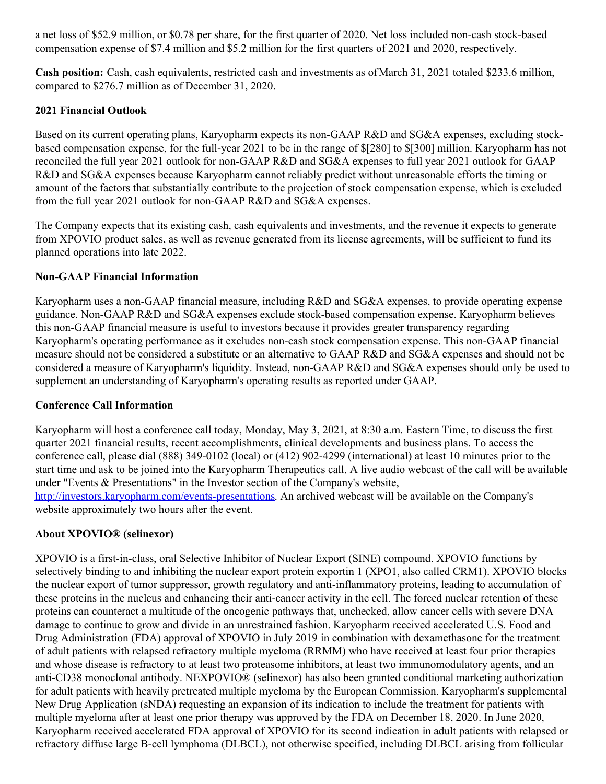a net loss of \$52.9 million, or \$0.78 per share, for the first quarter of 2020. Net loss included non-cash stock-based compensation expense of \$7.4 million and \$5.2 million for the first quarters of 2021 and 2020, respectively.

**Cash position:** Cash, cash equivalents, restricted cash and investments as ofMarch 31, 2021 totaled \$233.6 million, compared to \$276.7 million as of December 31, 2020.

#### **2021 Financial Outlook**

Based on its current operating plans, Karyopharm expects its non-GAAP R&D and SG&A expenses, excluding stockbased compensation expense, for the full-year 2021 to be in the range of \$[280] to \$[300] million. Karyopharm has not reconciled the full year 2021 outlook for non-GAAP R&D and SG&A expenses to full year 2021 outlook for GAAP R&D and SG&A expenses because Karyopharm cannot reliably predict without unreasonable efforts the timing or amount of the factors that substantially contribute to the projection of stock compensation expense, which is excluded from the full year 2021 outlook for non-GAAP R&D and SG&A expenses.

The Company expects that its existing cash, cash equivalents and investments, and the revenue it expects to generate from XPOVIO product sales, as well as revenue generated from its license agreements, will be sufficient to fund its planned operations into late 2022.

## **Non-GAAP Financial Information**

Karyopharm uses a non-GAAP financial measure, including R&D and SG&A expenses, to provide operating expense guidance. Non-GAAP R&D and SG&A expenses exclude stock-based compensation expense. Karyopharm believes this non-GAAP financial measure is useful to investors because it provides greater transparency regarding Karyopharm's operating performance as it excludes non-cash stock compensation expense. This non-GAAP financial measure should not be considered a substitute or an alternative to GAAP R&D and SG&A expenses and should not be considered a measure of Karyopharm's liquidity. Instead, non-GAAP R&D and SG&A expenses should only be used to supplement an understanding of Karyopharm's operating results as reported under GAAP.

## **Conference Call Information**

Karyopharm will host a conference call today, Monday, May 3, 2021, at 8:30 a.m. Eastern Time, to discuss the first quarter 2021 financial results, recent accomplishments, clinical developments and business plans. To access the conference call, please dial (888) 349-0102 (local) or (412) 902-4299 (international) at least 10 minutes prior to the start time and ask to be joined into the Karyopharm Therapeutics call. A live audio webcast of the call will be available under "Events & Presentations" in the Investor section of the Company's website, [http://investors.karyopharm.com/events-presentations](https://c212.net/c/link/?t=0&l=en&o=3149024-1&h=3387814642&u=http%3A%2F%2Finvestors.karyopharm.com%2Fevents-presentations&a=http%3A%2F%2Finvestors.karyopharm.com%2Fevents-presentations). An archived webcast will be available on the Company's website approximately two hours after the event.

## **About XPOVIO® (selinexor)**

XPOVIO is a first-in-class, oral Selective Inhibitor of Nuclear Export (SINE) compound. XPOVIO functions by selectively binding to and inhibiting the nuclear export protein exportin 1 (XPO1, also called CRM1). XPOVIO blocks the nuclear export of tumor suppressor, growth regulatory and anti-inflammatory proteins, leading to accumulation of these proteins in the nucleus and enhancing their anti-cancer activity in the cell. The forced nuclear retention of these proteins can counteract a multitude of the oncogenic pathways that, unchecked, allow cancer cells with severe DNA damage to continue to grow and divide in an unrestrained fashion. Karyopharm received accelerated U.S. Food and Drug Administration (FDA) approval of XPOVIO in July 2019 in combination with dexamethasone for the treatment of adult patients with relapsed refractory multiple myeloma (RRMM) who have received at least four prior therapies and whose disease is refractory to at least two proteasome inhibitors, at least two immunomodulatory agents, and an anti-CD38 monoclonal antibody. NEXPOVIO® (selinexor) has also been granted conditional marketing authorization for adult patients with heavily pretreated multiple myeloma by the European Commission. Karyopharm's supplemental New Drug Application (sNDA) requesting an expansion of its indication to include the treatment for patients with multiple myeloma after at least one prior therapy was approved by the FDA on December 18, 2020. In June 2020, Karyopharm received accelerated FDA approval of XPOVIO for its second indication in adult patients with relapsed or refractory diffuse large B-cell lymphoma (DLBCL), not otherwise specified, including DLBCL arising from follicular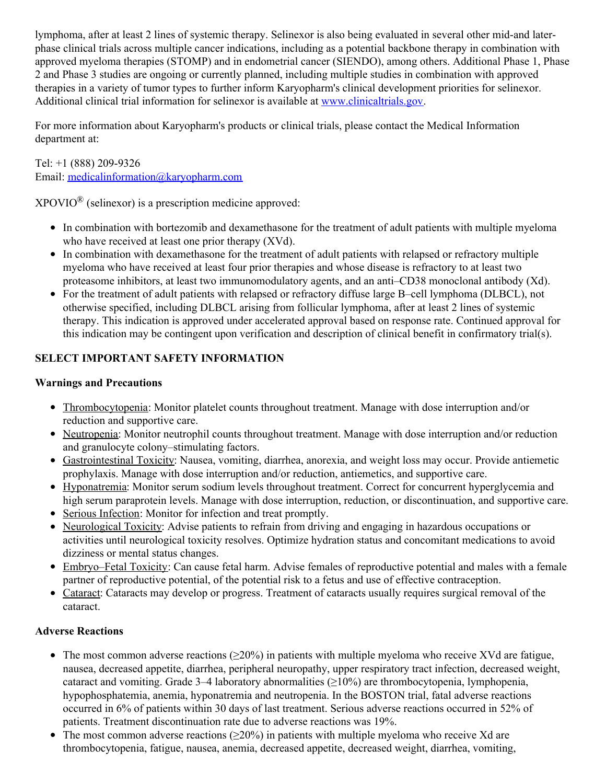lymphoma, after at least 2 lines of systemic therapy. Selinexor is also being evaluated in several other mid-and laterphase clinical trials across multiple cancer indications, including as a potential backbone therapy in combination with approved myeloma therapies (STOMP) and in endometrial cancer (SIENDO), among others. Additional Phase 1, Phase 2 and Phase 3 studies are ongoing or currently planned, including multiple studies in combination with approved therapies in a variety of tumor types to further inform Karyopharm's clinical development priorities for selinexor. Additional clinical trial information for selinexor is available at [www.clinicaltrials.gov](http://www.clinicaltrials.gov).

For more information about Karyopharm's products or clinical trials, please contact the Medical Information department at:

Tel: +1 (888) 209-9326 Email: [medicalinformation@karyopharm.com](mailto:medicalinformation@karyopharm.com)

 $XPOVIO^{\circledR}$  (selinexor) is a prescription medicine approved:

- In combination with bortezomib and dexamethasone for the treatment of adult patients with multiple myeloma who have received at least one prior therapy (XVd).
- In combination with dexamethasone for the treatment of adult patients with relapsed or refractory multiple myeloma who have received at least four prior therapies and whose disease is refractory to at least two proteasome inhibitors, at least two immunomodulatory agents, and an anti–CD38 monoclonal antibody (Xd).
- For the treatment of adult patients with relapsed or refractory diffuse large B–cell lymphoma (DLBCL), not otherwise specified, including DLBCL arising from follicular lymphoma, after at least 2 lines of systemic therapy. This indication is approved under accelerated approval based on response rate. Continued approval for this indication may be contingent upon verification and description of clinical benefit in confirmatory trial(s).

## **SELECT IMPORTANT SAFETY INFORMATION**

## **Warnings and Precautions**

- Thrombocytopenia: Monitor platelet counts throughout treatment. Manage with dose interruption and/or reduction and supportive care.
- Neutropenia: Monitor neutrophil counts throughout treatment. Manage with dose interruption and/or reduction and granulocyte colony–stimulating factors.
- Gastrointestinal Toxicity: Nausea, vomiting, diarrhea, anorexia, and weight loss may occur. Provide antiemetic prophylaxis. Manage with dose interruption and/or reduction, antiemetics, and supportive care.
- Hyponatremia: Monitor serum sodium levels throughout treatment. Correct for concurrent hyperglycemia and high serum paraprotein levels. Manage with dose interruption, reduction, or discontinuation, and supportive care.
- Serious Infection: Monitor for infection and treat promptly.
- Neurological Toxicity: Advise patients to refrain from driving and engaging in hazardous occupations or activities until neurological toxicity resolves. Optimize hydration status and concomitant medications to avoid dizziness or mental status changes.
- Embryo–Fetal Toxicity: Can cause fetal harm. Advise females of reproductive potential and males with a female partner of reproductive potential, of the potential risk to a fetus and use of effective contraception.
- Cataract: Cataracts may develop or progress. Treatment of cataracts usually requires surgical removal of the cataract.

## **Adverse Reactions**

- The most common adverse reactions ( $\geq 20\%$ ) in patients with multiple myeloma who receive XVd are fatigue, nausea, decreased appetite, diarrhea, peripheral neuropathy, upper respiratory tract infection, decreased weight, cataract and vomiting. Grade 3–4 laboratory abnormalities (≥10%) are thrombocytopenia, lymphopenia, hypophosphatemia, anemia, hyponatremia and neutropenia. In the BOSTON trial, fatal adverse reactions occurred in 6% of patients within 30 days of last treatment. Serious adverse reactions occurred in 52% of patients. Treatment discontinuation rate due to adverse reactions was 19%.
- The most common adverse reactions ( $\geq$ 20%) in patients with multiple myeloma who receive Xd are thrombocytopenia, fatigue, nausea, anemia, decreased appetite, decreased weight, diarrhea, vomiting,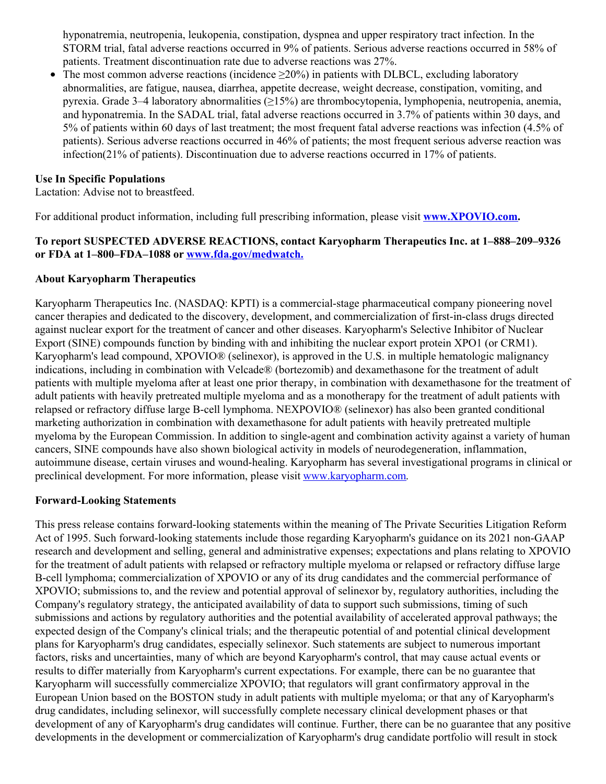hyponatremia, neutropenia, leukopenia, constipation, dyspnea and upper respiratory tract infection. In the STORM trial, fatal adverse reactions occurred in 9% of patients. Serious adverse reactions occurred in 58% of patients. Treatment discontinuation rate due to adverse reactions was 27%.

The most common adverse reactions (incidence  $\geq$ 20%) in patients with DLBCL, excluding laboratory abnormalities, are fatigue, nausea, diarrhea, appetite decrease, weight decrease, constipation, vomiting, and pyrexia. Grade 3–4 laboratory abnormalities (≥15%) are thrombocytopenia, lymphopenia, neutropenia, anemia, and hyponatremia. In the SADAL trial, fatal adverse reactions occurred in 3.7% of patients within 30 days, and 5% of patients within 60 days of last treatment; the most frequent fatal adverse reactions was infection (4.5% of patients). Serious adverse reactions occurred in 46% of patients; the most frequent serious adverse reaction was infection(21% of patients). Discontinuation due to adverse reactions occurred in 17% of patients.

#### **Use In Specific Populations**

Lactation: Advise not to breastfeed.

For additional product information, including full prescribing information, please visit **[www.XPOVIO.com](https://c212.net/c/link/?t=0&l=en&o=3149024-1&h=1960493342&u=http%3A%2F%2Fwww.xpovio.com%2F&a=www.XPOVIO.com).**

#### **To report SUSPECTED ADVERSE REACTIONS, contact Karyopharm Therapeutics Inc. at 1–888–209–9326 or FDA at 1–800–FDA–1088 or [www.fda.gov/medwatch.](https://c212.net/c/link/?t=0&l=en&o=3149024-1&h=1596838285&u=http%3A%2F%2Fwww.fda.gov%2Fmedwatch&a=www.fda.gov%2Fmedwatch.)**

#### **About Karyopharm Therapeutics**

Karyopharm Therapeutics Inc. (NASDAQ: KPTI) is a commercial-stage pharmaceutical company pioneering novel cancer therapies and dedicated to the discovery, development, and commercialization of first-in-class drugs directed against nuclear export for the treatment of cancer and other diseases. Karyopharm's Selective Inhibitor of Nuclear Export (SINE) compounds function by binding with and inhibiting the nuclear export protein XPO1 (or CRM1). Karyopharm's lead compound, XPOVIO® (selinexor), is approved in the U.S. in multiple hematologic malignancy indications, including in combination with Velcade® (bortezomib) and dexamethasone for the treatment of adult patients with multiple myeloma after at least one prior therapy, in combination with dexamethasone for the treatment of adult patients with heavily pretreated multiple myeloma and as a monotherapy for the treatment of adult patients with relapsed or refractory diffuse large B-cell lymphoma. NEXPOVIO® (selinexor) has also been granted conditional marketing authorization in combination with dexamethasone for adult patients with heavily pretreated multiple myeloma by the European Commission. In addition to single-agent and combination activity against a variety of human cancers, SINE compounds have also shown biological activity in models of neurodegeneration, inflammation, autoimmune disease, certain viruses and wound-healing. Karyopharm has several investigational programs in clinical or preclinical development. For more information, please visit [www.karyopharm.com](https://c212.net/c/link/?t=0&l=en&o=3149024-1&h=4272964818&u=http%3A%2F%2Fwww.karyopharm.com%2F&a=www.karyopharm.com).

#### **Forward-Looking Statements**

This press release contains forward-looking statements within the meaning of The Private Securities Litigation Reform Act of 1995. Such forward-looking statements include those regarding Karyopharm's guidance on its 2021 non-GAAP research and development and selling, general and administrative expenses; expectations and plans relating to XPOVIO for the treatment of adult patients with relapsed or refractory multiple myeloma or relapsed or refractory diffuse large B-cell lymphoma; commercialization of XPOVIO or any of its drug candidates and the commercial performance of XPOVIO; submissions to, and the review and potential approval of selinexor by, regulatory authorities, including the Company's regulatory strategy, the anticipated availability of data to support such submissions, timing of such submissions and actions by regulatory authorities and the potential availability of accelerated approval pathways; the expected design of the Company's clinical trials; and the therapeutic potential of and potential clinical development plans for Karyopharm's drug candidates, especially selinexor. Such statements are subject to numerous important factors, risks and uncertainties, many of which are beyond Karyopharm's control, that may cause actual events or results to differ materially from Karyopharm's current expectations. For example, there can be no guarantee that Karyopharm will successfully commercialize XPOVIO; that regulators will grant confirmatory approval in the European Union based on the BOSTON study in adult patients with multiple myeloma; or that any of Karyopharm's drug candidates, including selinexor, will successfully complete necessary clinical development phases or that development of any of Karyopharm's drug candidates will continue. Further, there can be no guarantee that any positive developments in the development or commercialization of Karyopharm's drug candidate portfolio will result in stock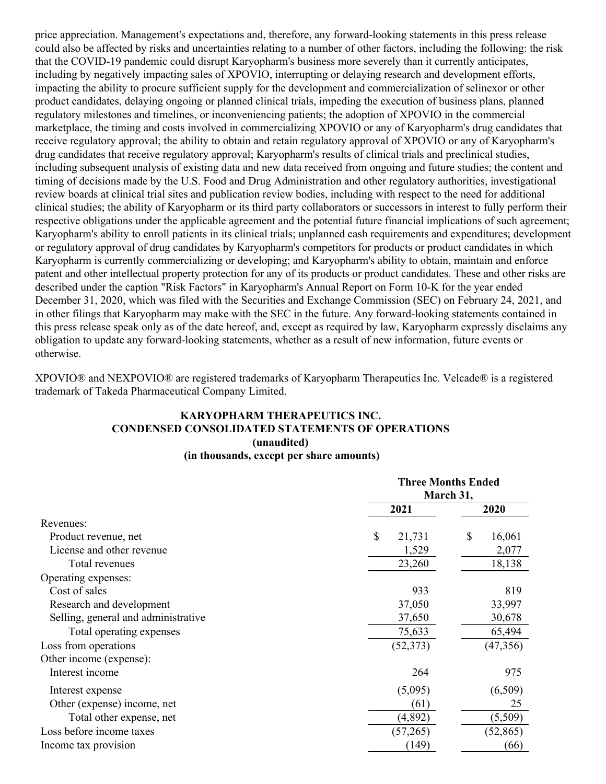price appreciation. Management's expectations and, therefore, any forward-looking statements in this press release could also be affected by risks and uncertainties relating to a number of other factors, including the following: the risk that the COVID-19 pandemic could disrupt Karyopharm's business more severely than it currently anticipates, including by negatively impacting sales of XPOVIO, interrupting or delaying research and development efforts, impacting the ability to procure sufficient supply for the development and commercialization of selinexor or other product candidates, delaying ongoing or planned clinical trials, impeding the execution of business plans, planned regulatory milestones and timelines, or inconveniencing patients; the adoption of XPOVIO in the commercial marketplace, the timing and costs involved in commercializing XPOVIO or any of Karyopharm's drug candidates that receive regulatory approval; the ability to obtain and retain regulatory approval of XPOVIO or any of Karyopharm's drug candidates that receive regulatory approval; Karyopharm's results of clinical trials and preclinical studies, including subsequent analysis of existing data and new data received from ongoing and future studies; the content and timing of decisions made by the U.S. Food and Drug Administration and other regulatory authorities, investigational review boards at clinical trial sites and publication review bodies, including with respect to the need for additional clinical studies; the ability of Karyopharm or its third party collaborators or successors in interest to fully perform their respective obligations under the applicable agreement and the potential future financial implications of such agreement; Karyopharm's ability to enroll patients in its clinical trials; unplanned cash requirements and expenditures; development or regulatory approval of drug candidates by Karyopharm's competitors for products or product candidates in which Karyopharm is currently commercializing or developing; and Karyopharm's ability to obtain, maintain and enforce patent and other intellectual property protection for any of its products or product candidates. These and other risks are described under the caption "Risk Factors" in Karyopharm's Annual Report on Form 10-K for the year ended December 31, 2020, which was filed with the Securities and Exchange Commission (SEC) on February 24, 2021, and in other filings that Karyopharm may make with the SEC in the future. Any forward-looking statements contained in this press release speak only as of the date hereof, and, except as required by law, Karyopharm expressly disclaims any obligation to update any forward-looking statements, whether as a result of new information, future events or otherwise.

XPOVIO® and NEXPOVIO® are registered trademarks of Karyopharm Therapeutics Inc. Velcade® is a registered trademark of Takeda Pharmaceutical Company Limited.

#### **KARYOPHARM THERAPEUTICS INC. CONDENSED CONSOLIDATED STATEMENTS OF OPERATIONS (unaudited) (in thousands, except per share amounts)**

|                                     |              | <b>Three Months Ended</b><br>March 31, |  |  |  |
|-------------------------------------|--------------|----------------------------------------|--|--|--|
|                                     | 2021         | 2020                                   |  |  |  |
| Revenues:                           |              |                                        |  |  |  |
| Product revenue, net                | \$<br>21,731 | \$<br>16,061                           |  |  |  |
| License and other revenue           | 1,529        | 2,077                                  |  |  |  |
| Total revenues                      | 23,260       | 18,138                                 |  |  |  |
| Operating expenses:                 |              |                                        |  |  |  |
| Cost of sales                       | 933          | 819                                    |  |  |  |
| Research and development            | 37,050       | 33,997                                 |  |  |  |
| Selling, general and administrative | 37,650       | 30,678                                 |  |  |  |
| Total operating expenses            | 75,633       | 65,494                                 |  |  |  |
| Loss from operations                | (52, 373)    | (47, 356)                              |  |  |  |
| Other income (expense):             |              |                                        |  |  |  |
| Interest income                     | 264          | 975                                    |  |  |  |
| Interest expense                    | (5,095)      | (6,509)                                |  |  |  |
| Other (expense) income, net         | (61)         | 25                                     |  |  |  |
| Total other expense, net            | (4,892)      | (5,509)                                |  |  |  |
| Loss before income taxes            | (57,265)     | (52, 865)                              |  |  |  |
| Income tax provision                | (149)        | (66)                                   |  |  |  |